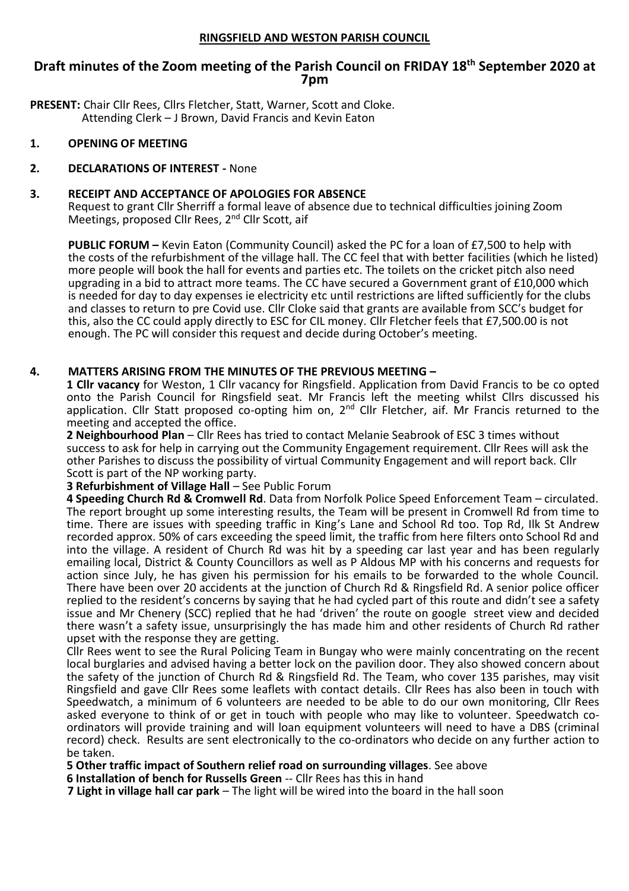#### **RINGSFIELD AND WESTON PARISH COUNCIL**

# **Draft minutes of the Zoom meeting of the Parish Council on FRIDAY 18th September 2020 at 7pm**

**PRESENT:** Chair Cllr Rees, Cllrs Fletcher, Statt, Warner, Scott and Cloke. Attending Clerk – J Brown, David Francis and Kevin Eaton

#### **1. OPENING OF MEETING**

# **2. DECLARATIONS OF INTEREST -** None

#### **3. RECEIPT AND ACCEPTANCE OF APOLOGIES FOR ABSENCE**

Request to grant Cllr Sherriff a formal leave of absence due to technical difficulties joining Zoom Meetings, proposed Cllr Rees, 2<sup>nd</sup> Cllr Scott, aif

**PUBLIC FORUM –** Kevin Eaton (Community Council) asked the PC for a loan of £7,500 to help with the costs of the refurbishment of the village hall. The CC feel that with better facilities (which he listed) more people will book the hall for events and parties etc. The toilets on the cricket pitch also need upgrading in a bid to attract more teams. The CC have secured a Government grant of £10,000 which is needed for day to day expenses ie electricity etc until restrictions are lifted sufficiently for the clubs and classes to return to pre Covid use. Cllr Cloke said that grants are available from SCC's budget for this, also the CC could apply directly to ESC for CIL money. Cllr Fletcher feels that £7,500.00 is not enough. The PC will consider this request and decide during October's meeting.

#### **4. MATTERS ARISING FROM THE MINUTES OF THE PREVIOUS MEETING –**

**1 Cllr vacancy** for Weston, 1 Cllr vacancy for Ringsfield. Application from David Francis to be co opted onto the Parish Council for Ringsfield seat. Mr Francis left the meeting whilst Cllrs discussed his application. Cllr Statt proposed co-opting him on, 2<sup>nd</sup> Cllr Fletcher, aif. Mr Francis returned to the meeting and accepted the office.

**2 Neighbourhood Plan** – Cllr Rees has tried to contact Melanie Seabrook of ESC 3 times without success to ask for help in carrying out the Community Engagement requirement. Cllr Rees will ask the other Parishes to discuss the possibility of virtual Community Engagement and will report back. Cllr Scott is part of the NP working party.

#### **3 Refurbishment of Village Hall** – See Public Forum

**4 Speeding Church Rd & Cromwell Rd**. Data from Norfolk Police Speed Enforcement Team – circulated. The report brought up some interesting results, the Team will be present in Cromwell Rd from time to time. There are issues with speeding traffic in King's Lane and School Rd too. Top Rd, Ilk St Andrew recorded approx. 50% of cars exceeding the speed limit, the traffic from here filters onto School Rd and into the village. A resident of Church Rd was hit by a speeding car last year and has been regularly emailing local, District & County Councillors as well as P Aldous MP with his concerns and requests for action since July, he has given his permission for his emails to be forwarded to the whole Council. There have been over 20 accidents at the junction of Church Rd & Ringsfield Rd. A senior police officer replied to the resident's concerns by saying that he had cycled part of this route and didn't see a safety issue and Mr Chenery (SCC) replied that he had 'driven' the route on google street view and decided there wasn't a safety issue, unsurprisingly the has made him and other residents of Church Rd rather upset with the response they are getting.

Cllr Rees went to see the Rural Policing Team in Bungay who were mainly concentrating on the recent local burglaries and advised having a better lock on the pavilion door. They also showed concern about the safety of the junction of Church Rd & Ringsfield Rd. The Team, who cover 135 parishes, may visit Ringsfield and gave Cllr Rees some leaflets with contact details. Cllr Rees has also been in touch with Speedwatch, a minimum of 6 volunteers are needed to be able to do our own monitoring, Cllr Rees asked everyone to think of or get in touch with people who may like to volunteer. Speedwatch coordinators will provide training and will loan equipment volunteers will need to have a DBS (criminal record) check. Results are sent electronically to the co-ordinators who decide on any further action to be taken.

**5 Other traffic impact of Southern relief road on surrounding villages**. See above

**6 Installation of bench for Russells Green** -- Cllr Rees has this in hand

**7 Light in village hall car park** – The light will be wired into the board in the hall soon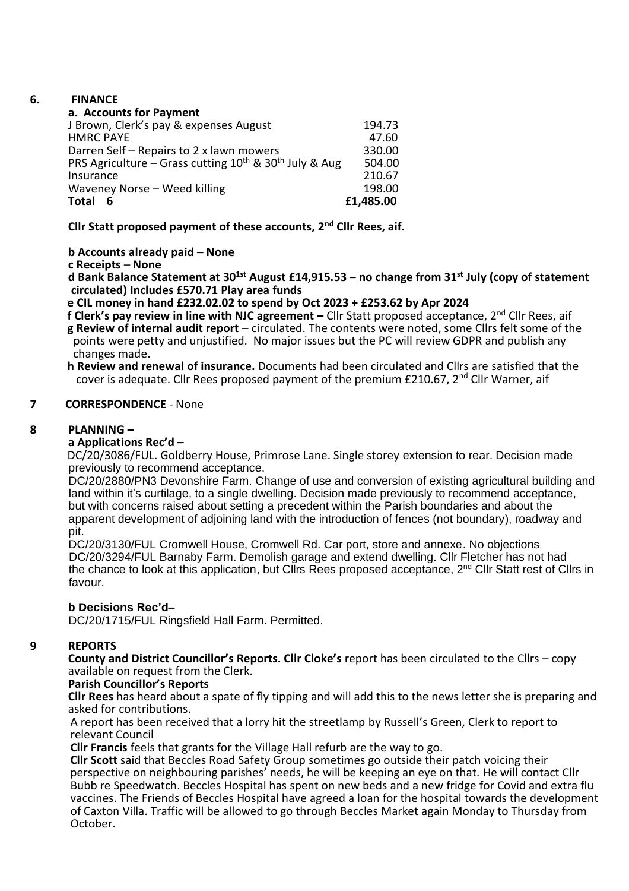#### **6. FINANCE**

| a. Accounts for Payment                                          |           |
|------------------------------------------------------------------|-----------|
| J Brown, Clerk's pay & expenses August                           | 194.73    |
| <b>HMRC PAYE</b>                                                 | 47.60     |
| Darren Self – Repairs to 2 x lawn mowers                         | 330.00    |
| PRS Agriculture – Grass cutting $10^{th}$ & $30^{th}$ July & Aug | 504.00    |
| Insurance                                                        | 210.67    |
| Waveney Norse - Weed killing                                     | 198.00    |
| <b>Total</b>                                                     | £1,485.00 |

**Cllr Statt proposed payment of these accounts, 2nd Cllr Rees, aif.**

# **b Accounts already paid – None**

# **c Receipts** – **None**

**d Bank Balance Statement at 301st August £14,915.53 – no change from 31st July (copy of statement circulated) Includes £570.71 Play area funds**

 **e CIL money in hand £232.02.02 to spend by Oct 2023 + £253.62 by Apr 2024**

 **f Clerk's pay review in line with NJC agreement –** Cllr Statt proposed acceptance, 2nd Cllr Rees, aif  **g Review of internal audit report** – circulated. The contents were noted, some Cllrs felt some of the points were petty and unjustified. No major issues but the PC will review GDPR and publish any changes made.

 **h Review and renewal of insurance.** Documents had been circulated and Cllrs are satisfied that the cover is adequate. Cllr Rees proposed payment of the premium  $£210.67$ ,  $2<sup>nd</sup>$  Cllr Warner, aif

# **7 CORRESPONDENCE** - None

# **8 PLANNING –**

# **a Applications Rec'd –**

 DC/20/3086/FUL. Goldberry House, Primrose Lane. Single storey extension to rear. Decision made previously to recommend acceptance.

 DC/20/2880/PN3 Devonshire Farm. Change of use and conversion of existing agricultural building and land within it's curtilage, to a single dwelling. Decision made previously to recommend acceptance, but with concerns raised about setting a precedent within the Parish boundaries and about the apparent development of adjoining land with the introduction of fences (not boundary), roadway and pit.

 DC/20/3130/FUL Cromwell House, Cromwell Rd. Car port, store and annexe. No objections DC/20/3294/FUL Barnaby Farm. Demolish garage and extend dwelling. Cllr Fletcher has not had the chance to look at this application, but Cllrs Rees proposed acceptance, 2<sup>nd</sup> Cllr Statt rest of Cllrs in favour.

# **b Decisions Rec'd–**

DC/20/1715/FUL Ringsfield Hall Farm. Permitted.

# **9 REPORTS**

**County and District Councillor's Reports. Cllr Cloke's** report has been circulated to the Cllrs – copy available on request from the Clerk.

# **Parish Councillor's Reports**

**Cllr Rees** has heard about a spate of fly tipping and will add this to the news letter she is preparing and asked for contributions.

 A report has been received that a lorry hit the streetlamp by Russell's Green, Clerk to report to relevant Council

 **Cllr Francis** feels that grants for the Village Hall refurb are the way to go.

 **Cllr Scott** said that Beccles Road Safety Group sometimes go outside their patch voicing their perspective on neighbouring parishes' needs, he will be keeping an eye on that. He will contact Cllr Bubb re Speedwatch. Beccles Hospital has spent on new beds and a new fridge for Covid and extra flu vaccines. The Friends of Beccles Hospital have agreed a loan for the hospital towards the development of Caxton Villa. Traffic will be allowed to go through Beccles Market again Monday to Thursday from October.